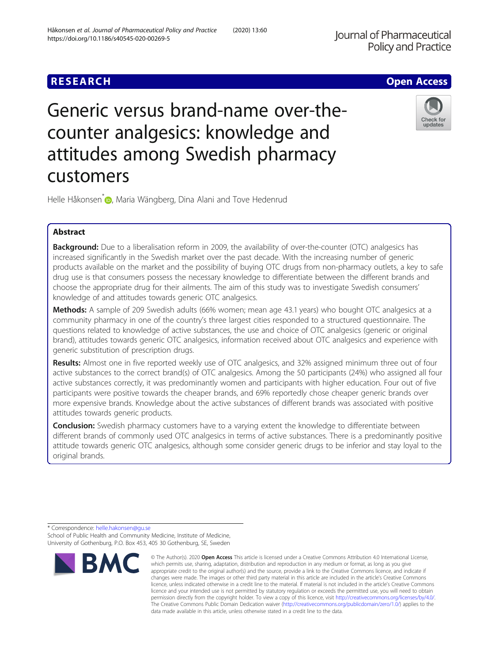## **RESEARCH CHE Open Access**

# Generic versus brand-name over-thecounter analgesics: knowledge and attitudes among Swedish pharmacy customers



Helle Håkonsen<sup>\*</sup> <sub>(D</sub>[,](http://orcid.org/0000-0002-5238-1760) Maria Wängberg, Dina Alani and Tove Hedenrud

### Abstract

Background: Due to a liberalisation reform in 2009, the availability of over-the-counter (OTC) analgesics has increased significantly in the Swedish market over the past decade. With the increasing number of generic products available on the market and the possibility of buying OTC drugs from non-pharmacy outlets, a key to safe drug use is that consumers possess the necessary knowledge to differentiate between the different brands and choose the appropriate drug for their ailments. The aim of this study was to investigate Swedish consumers' knowledge of and attitudes towards generic OTC analgesics.

Methods: A sample of 209 Swedish adults (66% women; mean age 43.1 years) who bought OTC analgesics at a community pharmacy in one of the country's three largest cities responded to a structured questionnaire. The questions related to knowledge of active substances, the use and choice of OTC analgesics (generic or original brand), attitudes towards generic OTC analgesics, information received about OTC analgesics and experience with generic substitution of prescription drugs.

Results: Almost one in five reported weekly use of OTC analgesics, and 32% assigned minimum three out of four active substances to the correct brand(s) of OTC analgesics. Among the 50 participants (24%) who assigned all four active substances correctly, it was predominantly women and participants with higher education. Four out of five participants were positive towards the cheaper brands, and 69% reportedly chose cheaper generic brands over more expensive brands. Knowledge about the active substances of different brands was associated with positive attitudes towards generic products.

**Conclusion:** Swedish pharmacy customers have to a varying extent the knowledge to differentiate between different brands of commonly used OTC analgesics in terms of active substances. There is a predominantly positive attitude towards generic OTC analgesics, although some consider generic drugs to be inferior and stay loyal to the original brands.

<sup>\*</sup> Correspondence: [helle.hakonsen@gu.se](mailto:helle.hakonsen@gu.se) School of Public Health and Community Medicine, Institute of Medicine, University of Gothenburg, P.O. Box 453, 405 30 Gothenburg, SE, Sweden



<sup>©</sup> The Author(s), 2020 **Open Access** This article is licensed under a Creative Commons Attribution 4.0 International License, which permits use, sharing, adaptation, distribution and reproduction in any medium or format, as long as you give appropriate credit to the original author(s) and the source, provide a link to the Creative Commons licence, and indicate if changes were made. The images or other third party material in this article are included in the article's Creative Commons licence, unless indicated otherwise in a credit line to the material. If material is not included in the article's Creative Commons licence and your intended use is not permitted by statutory regulation or exceeds the permitted use, you will need to obtain permission directly from the copyright holder. To view a copy of this licence, visit [http://creativecommons.org/licenses/by/4.0/.](http://creativecommons.org/licenses/by/4.0/) The Creative Commons Public Domain Dedication waiver [\(http://creativecommons.org/publicdomain/zero/1.0/](http://creativecommons.org/publicdomain/zero/1.0/)) applies to the data made available in this article, unless otherwise stated in a credit line to the data.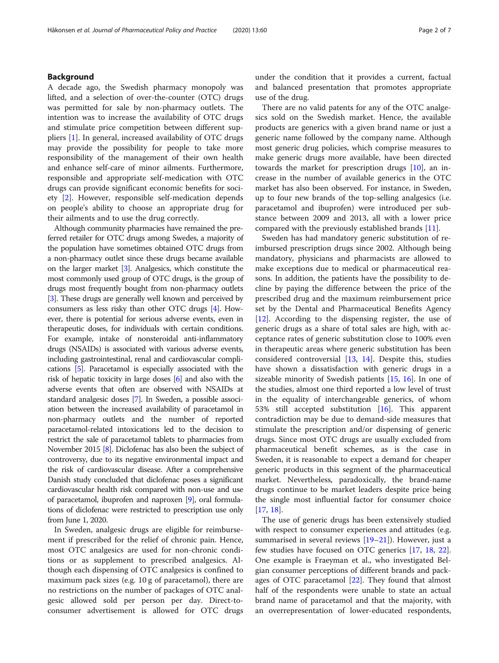#### Background

A decade ago, the Swedish pharmacy monopoly was lifted, and a selection of over-the-counter (OTC) drugs was permitted for sale by non-pharmacy outlets. The intention was to increase the availability of OTC drugs and stimulate price competition between different suppliers [\[1](#page-6-0)]. In general, increased availability of OTC drugs may provide the possibility for people to take more responsibility of the management of their own health and enhance self-care of minor ailments. Furthermore, responsible and appropriate self-medication with OTC drugs can provide significant economic benefits for society [\[2](#page-6-0)]. However, responsible self-medication depends on people's ability to choose an appropriate drug for their ailments and to use the drug correctly.

Although community pharmacies have remained the preferred retailer for OTC drugs among Swedes, a majority of the population have sometimes obtained OTC drugs from a non-pharmacy outlet since these drugs became available on the larger market [[3](#page-6-0)]. Analgesics, which constitute the most commonly used group of OTC drugs, is the group of drugs most frequently bought from non-pharmacy outlets [[3](#page-6-0)]. These drugs are generally well known and perceived by consumers as less risky than other OTC drugs [\[4](#page-6-0)]. However, there is potential for serious adverse events, even in therapeutic doses, for individuals with certain conditions. For example, intake of nonsteroidal anti-inflammatory drugs (NSAIDs) is associated with various adverse events, including gastrointestinal, renal and cardiovascular complications [\[5\]](#page-6-0). Paracetamol is especially associated with the risk of hepatic toxicity in large doses [\[6\]](#page-6-0) and also with the adverse events that often are observed with NSAIDs at standard analgesic doses [[7](#page-6-0)]. In Sweden, a possible association between the increased availability of paracetamol in non-pharmacy outlets and the number of reported paracetamol-related intoxications led to the decision to restrict the sale of paracetamol tablets to pharmacies from November 2015 [[8](#page-6-0)]. Diclofenac has also been the subject of controversy, due to its negative environmental impact and the risk of cardiovascular disease. After a comprehensive Danish study concluded that diclofenac poses a significant cardiovascular health risk compared with non-use and use of paracetamol, ibuprofen and naproxen [\[9](#page-6-0)], oral formulations of diclofenac were restricted to prescription use only from June 1, 2020.

In Sweden, analgesic drugs are eligible for reimbursement if prescribed for the relief of chronic pain. Hence, most OTC analgesics are used for non-chronic conditions or as supplement to prescribed analgesics. Although each dispensing of OTC analgesics is confined to maximum pack sizes (e.g. 10 g of paracetamol), there are no restrictions on the number of packages of OTC analgesic allowed sold per person per day. Direct-toconsumer advertisement is allowed for OTC drugs under the condition that it provides a current, factual and balanced presentation that promotes appropriate use of the drug.

There are no valid patents for any of the OTC analgesics sold on the Swedish market. Hence, the available products are generics with a given brand name or just a generic name followed by the company name. Although most generic drug policies, which comprise measures to make generic drugs more available, have been directed towards the market for prescription drugs [[10\]](#page-6-0), an increase in the number of available generics in the OTC market has also been observed. For instance, in Sweden, up to four new brands of the top-selling analgesics (i.e. paracetamol and ibuprofen) were introduced per substance between 2009 and 2013, all with a lower price compared with the previously established brands [[11\]](#page-6-0).

Sweden has had mandatory generic substitution of reimbursed prescription drugs since 2002. Although being mandatory, physicians and pharmacists are allowed to make exceptions due to medical or pharmaceutical reasons. In addition, the patients have the possibility to decline by paying the difference between the price of the prescribed drug and the maximum reimbursement price set by the Dental and Pharmaceutical Benefits Agency [[12\]](#page-6-0). According to the dispensing register, the use of generic drugs as a share of total sales are high, with acceptance rates of generic substitution close to 100% even in therapeutic areas where generic substitution has been considered controversial [\[13,](#page-6-0) [14\]](#page-6-0). Despite this, studies have shown a dissatisfaction with generic drugs in a sizeable minority of Swedish patients [[15](#page-6-0), [16\]](#page-6-0). In one of the studies, almost one third reported a low level of trust in the equality of interchangeable generics, of whom 53% still accepted substitution [[16\]](#page-6-0). This apparent contradiction may be due to demand-side measures that stimulate the prescription and/or dispensing of generic drugs. Since most OTC drugs are usually excluded from pharmaceutical benefit schemes, as is the case in Sweden, it is reasonable to expect a demand for cheaper generic products in this segment of the pharmaceutical market. Nevertheless, paradoxically, the brand-name drugs continue to be market leaders despite price being the single most influential factor for consumer choice [[17,](#page-6-0) [18\]](#page-6-0).

The use of generic drugs has been extensively studied with respect to consumer experiences and attitudes (e.g. summarised in several reviews  $[19-21]$  $[19-21]$  $[19-21]$  $[19-21]$  $[19-21]$ ). However, just a few studies have focused on OTC generics [[17,](#page-6-0) [18](#page-6-0), [22](#page-6-0)]. One example is Fraeyman et al., who investigated Belgian consumer perceptions of different brands and packages of OTC paracetamol [[22\]](#page-6-0). They found that almost half of the respondents were unable to state an actual brand name of paracetamol and that the majority, with an overrepresentation of lower-educated respondents,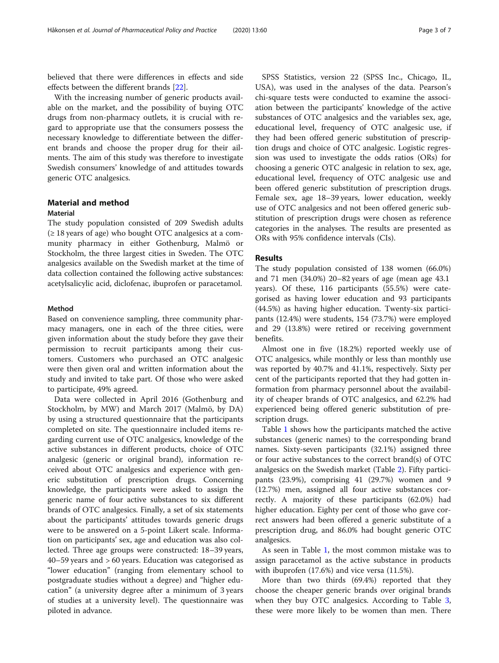believed that there were differences in effects and side effects between the different brands [\[22](#page-6-0)].

With the increasing number of generic products available on the market, and the possibility of buying OTC drugs from non-pharmacy outlets, it is crucial with regard to appropriate use that the consumers possess the necessary knowledge to differentiate between the different brands and choose the proper drug for their ailments. The aim of this study was therefore to investigate Swedish consumers' knowledge of and attitudes towards generic OTC analgesics.

#### Material and method

#### Material

The study population consisted of 209 Swedish adults  $(≥ 18$  years of age) who bought OTC analgesics at a community pharmacy in either Gothenburg, Malmö or Stockholm, the three largest cities in Sweden. The OTC analgesics available on the Swedish market at the time of data collection contained the following active substances: acetylsalicylic acid, diclofenac, ibuprofen or paracetamol.

#### Method

Based on convenience sampling, three community pharmacy managers, one in each of the three cities, were given information about the study before they gave their permission to recruit participants among their customers. Customers who purchased an OTC analgesic were then given oral and written information about the study and invited to take part. Of those who were asked to participate, 49% agreed.

Data were collected in April 2016 (Gothenburg and Stockholm, by MW) and March 2017 (Malmö, by DA) by using a structured questionnaire that the participants completed on site. The questionnaire included items regarding current use of OTC analgesics, knowledge of the active substances in different products, choice of OTC analgesic (generic or original brand), information received about OTC analgesics and experience with generic substitution of prescription drugs. Concerning knowledge, the participants were asked to assign the generic name of four active substances to six different brands of OTC analgesics. Finally, a set of six statements about the participants' attitudes towards generic drugs were to be answered on a 5-point Likert scale. Information on participants' sex, age and education was also collected. Three age groups were constructed: 18–39 years, 40–59 years and > 60 years. Education was categorised as "lower education" (ranging from elementary school to postgraduate studies without a degree) and "higher education" (a university degree after a minimum of 3 years of studies at a university level). The questionnaire was piloted in advance.

SPSS Statistics, version 22 (SPSS Inc., Chicago, IL, USA), was used in the analyses of the data. Pearson's chi-square tests were conducted to examine the association between the participants' knowledge of the active substances of OTC analgesics and the variables sex, age, educational level, frequency of OTC analgesic use, if they had been offered generic substitution of prescription drugs and choice of OTC analgesic. Logistic regression was used to investigate the odds ratios (ORs) for choosing a generic OTC analgesic in relation to sex, age, educational level, frequency of OTC analgesic use and been offered generic substitution of prescription drugs. Female sex, age 18–39 years, lower education, weekly use of OTC analgesics and not been offered generic substitution of prescription drugs were chosen as reference categories in the analyses. The results are presented as ORs with 95% confidence intervals (CIs).

#### Results

The study population consisted of 138 women (66.0%) and 71 men (34.0%) 20–82 years of age (mean age 43.1 years). Of these, 116 participants (55.5%) were categorised as having lower education and 93 participants (44.5%) as having higher education. Twenty-six participants (12.4%) were students, 154 (73.7%) were employed and 29 (13.8%) were retired or receiving government benefits.

Almost one in five (18.2%) reported weekly use of OTC analgesics, while monthly or less than monthly use was reported by 40.7% and 41.1%, respectively. Sixty per cent of the participants reported that they had gotten information from pharmacy personnel about the availability of cheaper brands of OTC analgesics, and 62.2% had experienced being offered generic substitution of prescription drugs.

Table [1](#page-3-0) shows how the participants matched the active substances (generic names) to the corresponding brand names. Sixty-seven participants (32.1%) assigned three or four active substances to the correct brand(s) of OTC analgesics on the Swedish market (Table [2\)](#page-3-0). Fifty participants (23.9%), comprising 41 (29.7%) women and 9 (12.7%) men, assigned all four active substances correctly. A majority of these participants (62.0%) had higher education. Eighty per cent of those who gave correct answers had been offered a generic substitute of a prescription drug, and 86.0% had bought generic OTC analgesics.

As seen in Table [1](#page-3-0), the most common mistake was to assign paracetamol as the active substance in products with ibuprofen (17.6%) and vice versa (11.5%).

More than two thirds (69.4%) reported that they choose the cheaper generic brands over original brands when they buy OTC analgesics. According to Table [3](#page-4-0), these were more likely to be women than men. There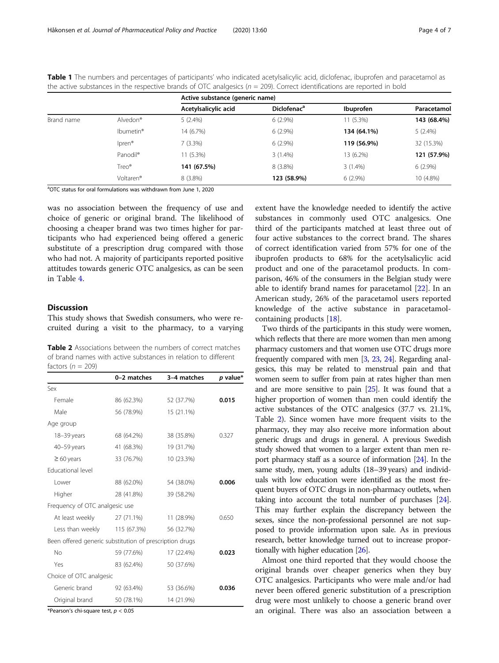|            |                       | Active substance (generic name) |                         |                  |             |  |
|------------|-----------------------|---------------------------------|-------------------------|------------------|-------------|--|
|            |                       | Acetylsalicylic acid            | Diclofenac <sup>a</sup> | <b>Ibuprofen</b> | Paracetamol |  |
| Brand name | Alvedon <sup>®</sup>  | $5(2.4\%)$                      | $6(2.9\%)$              | $11(5.3\%)$      | 143 (68.4%) |  |
|            | lbumetin <sup>®</sup> | 14 (6.7%)                       | $6(2.9\%)$              | 134 (64.1%)      | $5(2.4\%)$  |  |
|            | lpren®                | $7(3.3\%)$                      | $6(2.9\%)$              | 119 (56.9%)      | 32 (15.3%)  |  |
|            | Panodil <sup>®</sup>  | 11 (5.3%)                       | $3(1.4\%)$              | 13 (6.2%)        | 121 (57.9%) |  |
|            | Treo <sup>®</sup>     | 141 (67.5%)                     | $8(3.8\%)$              | 3(1.4%)          | $6(2.9\%)$  |  |
|            | Voltaren <sup>®</sup> | $8(3.8\%)$                      | 123 (58.9%)             | $6(2.9\%)$       | 10 (4.8%)   |  |

<span id="page-3-0"></span>Table 1 The numbers and percentages of participants' who indicated acetylsalicylic acid, diclofenac, ibuprofen and paracetamol as the active substances in the respective brands of OTC analgesics ( $n = 209$ ). Correct identifications are reported in bold

<sup>a</sup>OTC status for oral formulations was withdrawn from June 1, 2020

was no association between the frequency of use and choice of generic or original brand. The likelihood of choosing a cheaper brand was two times higher for participants who had experienced being offered a generic substitute of a prescription drug compared with those who had not. A majority of participants reported positive attitudes towards generic OTC analgesics, as can be seen in Table [4](#page-4-0).

#### **Discussion**

This study shows that Swedish consumers, who were recruited during a visit to the pharmacy, to a varying

Table 2 Associations between the numbers of correct matches of brand names with active substances in relation to different  $f_{\text{a} \text{atawa}}/n$ 

| $1dCUOS (II = ZUY)$                                     |             |             |          |
|---------------------------------------------------------|-------------|-------------|----------|
|                                                         | 0-2 matches | 3-4 matches | p value* |
| Sex                                                     |             |             |          |
| Female                                                  | 86 (62.3%)  | 52 (37.7%)  | 0.015    |
| Male                                                    | 56 (78.9%)  | 15 (21.1%)  |          |
| Age group                                               |             |             |          |
| 18-39 years                                             | 68 (64.2%)  | 38 (35.8%)  | 0.327    |
| 40-59 years                                             | 41 (68.3%)  | 19 (31.7%)  |          |
| $\geq 60$ years                                         | 33 (76.7%)  | 10 (23.3%)  |          |
| Educational level                                       |             |             |          |
| Lower                                                   | 88 (62.0%)  | 54 (38.0%)  | 0.006    |
| Higher                                                  | 28 (41.8%)  | 39 (58.2%)  |          |
| Frequency of OTC analgesic use                          |             |             |          |
| At least weekly 27 (71.1%)                              |             | 11 (28.9%)  | 0.650    |
| Less than weekly $115(67.3\%)$                          |             | 56 (32.7%)  |          |
| Been offered generic substitution of prescription drugs |             |             |          |
| No                                                      | 59 (77.6%)  | 17 (22.4%)  | 0.023    |
| Yes                                                     | 83 (62.4%)  | 50 (37.6%)  |          |
| Choice of OTC analgesic                                 |             |             |          |
| Generic brand                                           | 92 (63.4%)  | 53 (36.6%)  | 0.036    |
| Original brand                                          | 50 (78.1%)  | 14 (21.9%)  |          |
|                                                         |             |             |          |

\*Pearson's chi-square test,  $p < 0.05$ 

extent have the knowledge needed to identify the active substances in commonly used OTC analgesics. One third of the participants matched at least three out of four active substances to the correct brand. The shares of correct identification varied from 57% for one of the ibuprofen products to 68% for the acetylsalicylic acid product and one of the paracetamol products. In comparison, 46% of the consumers in the Belgian study were able to identify brand names for paracetamol [\[22](#page-6-0)]. In an American study, 26% of the paracetamol users reported knowledge of the active substance in paracetamolcontaining products [[18\]](#page-6-0).

Two thirds of the participants in this study were women, which reflects that there are more women than men among pharmacy customers and that women use OTC drugs more frequently compared with men [\[3,](#page-6-0) [23](#page-6-0), [24](#page-6-0)]. Regarding analgesics, this may be related to menstrual pain and that women seem to suffer from pain at rates higher than men and are more sensitive to pain [\[25](#page-6-0)]. It was found that a higher proportion of women than men could identify the active substances of the OTC analgesics (37.7 vs. 21.1%, Table 2). Since women have more frequent visits to the pharmacy, they may also receive more information about generic drugs and drugs in general. A previous Swedish study showed that women to a larger extent than men report pharmacy staff as a source of information [[24](#page-6-0)]. In the same study, men, young adults (18–39 years) and individuals with low education were identified as the most frequent buyers of OTC drugs in non-pharmacy outlets, when taking into account the total number of purchases [\[24](#page-6-0)]. This may further explain the discrepancy between the sexes, since the non-professional personnel are not supposed to provide information upon sale. As in previous research, better knowledge turned out to increase proportionally with higher education [\[26\]](#page-6-0).

Almost one third reported that they would choose the original brands over cheaper generics when they buy OTC analgesics. Participants who were male and/or had never been offered generic substitution of a prescription drug were most unlikely to choose a generic brand over an original. There was also an association between a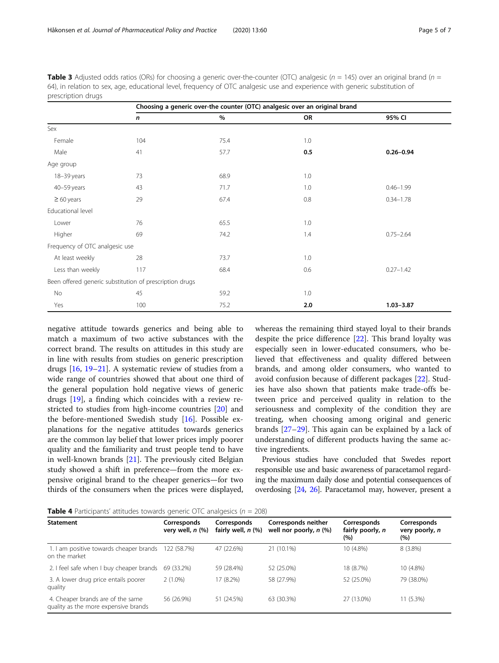| presemption arags                                       |                                                                            |      |     |               |  |
|---------------------------------------------------------|----------------------------------------------------------------------------|------|-----|---------------|--|
|                                                         | Choosing a generic over-the counter (OTC) analgesic over an original brand |      |     |               |  |
|                                                         | n                                                                          | $\%$ | OR  | 95% CI        |  |
| Sex                                                     |                                                                            |      |     |               |  |
| Female                                                  | 104                                                                        | 75.4 | 1.0 |               |  |
| Male                                                    | 41                                                                         | 57.7 | 0.5 | $0.26 - 0.94$ |  |
| Age group                                               |                                                                            |      |     |               |  |
| 18-39 years                                             | 73                                                                         | 68.9 | 1.0 |               |  |
| 40-59 years                                             | 43                                                                         | 71.7 | 1.0 | $0.46 - 1.99$ |  |
| $\geq 60$ years                                         | 29                                                                         | 67.4 | 0.8 | $0.34 - 1.78$ |  |
| Educational level                                       |                                                                            |      |     |               |  |
| Lower                                                   | 76                                                                         | 65.5 | 1.0 |               |  |
| Higher                                                  | 69                                                                         | 74.2 | 1.4 | $0.75 - 2.64$ |  |
| Frequency of OTC analgesic use                          |                                                                            |      |     |               |  |
| At least weekly                                         | 28                                                                         | 73.7 | 1.0 |               |  |
| Less than weekly                                        | 117                                                                        | 68.4 | 0.6 | $0.27 - 1.42$ |  |
| Been offered generic substitution of prescription drugs |                                                                            |      |     |               |  |
| No                                                      | 45                                                                         | 59.2 | 1.0 |               |  |
| Yes                                                     | 100                                                                        | 75.2 | 2.0 | $1.03 - 3.87$ |  |

<span id="page-4-0"></span>**Table 3** Adjusted odds ratios (ORs) for choosing a generic over-the-counter (OTC) analgesic ( $n = 145$ ) over an original brand ( $n =$ 64), in relation to sex, age, educational level, frequency of OTC analgesic use and experience with generic substitution of prescription drugs

negative attitude towards generics and being able to match a maximum of two active substances with the correct brand. The results on attitudes in this study are in line with results from studies on generic prescription drugs [[16,](#page-6-0) [19](#page-6-0)–[21\]](#page-6-0). A systematic review of studies from a wide range of countries showed that about one third of the general population hold negative views of generic drugs [[19](#page-6-0)], a finding which coincides with a review restricted to studies from high-income countries [[20\]](#page-6-0) and the before-mentioned Swedish study [\[16\]](#page-6-0). Possible explanations for the negative attitudes towards generics are the common lay belief that lower prices imply poorer quality and the familiarity and trust people tend to have in well-known brands [[21\]](#page-6-0). The previously cited Belgian study showed a shift in preference—from the more expensive original brand to the cheaper generics—for two thirds of the consumers when the prices were displayed,

whereas the remaining third stayed loyal to their brands despite the price difference [[22\]](#page-6-0). This brand loyalty was especially seen in lower-educated consumers, who believed that effectiveness and quality differed between brands, and among older consumers, who wanted to avoid confusion because of different packages [\[22\]](#page-6-0). Studies have also shown that patients make trade-offs between price and perceived quality in relation to the seriousness and complexity of the condition they are treating, when choosing among original and generic brands [[27](#page-6-0)–[29](#page-6-0)]. This again can be explained by a lack of understanding of different products having the same active ingredients.

Previous studies have concluded that Swedes report responsible use and basic awareness of paracetamol regarding the maximum daily dose and potential consequences of overdosing [\[24,](#page-6-0) [26](#page-6-0)]. Paracetamol may, however, present a

**Table 4** Participants' attitudes towards generic OTC analgesics ( $n = 208$ )

| <b>Statement</b>                                                          | Corresponds<br>very well, $n$ $(\%)$ | Corresponds<br>fairly well, $n$ $(\%)$ | Corresponds neither<br>well nor poorly, $n$ $(\%)$ | Corresponds<br>fairly poorly, n<br>(%) | Corresponds<br>very poorly, n<br>(%) |  |
|---------------------------------------------------------------------------|--------------------------------------|----------------------------------------|----------------------------------------------------|----------------------------------------|--------------------------------------|--|
| 1. I am positive towards cheaper brands<br>on the market                  | 122 (58.7%)                          | 47 (22.6%)                             | 21 (10.1%)                                         | 10 (4.8%)                              | $8(3.8\%)$                           |  |
| 2. I feel safe when I buy cheaper brands                                  | 69 (33.2%)                           | 59 (28.4%)                             | 52 (25.0%)                                         | 18 (8.7%)                              | 10 (4.8%)                            |  |
| 3. A lower drug price entails poorer<br>quality                           | $2(1.0\%)$                           | 17 (8.2%)                              | 58 (27.9%)                                         | 52 (25.0%)                             | 79 (38.0%)                           |  |
| 4. Cheaper brands are of the same<br>quality as the more expensive brands | 56 (26.9%)                           | 51 (24.5%)                             | 63 (30.3%)                                         | 27 (13.0%)                             | 11 (5.3%)                            |  |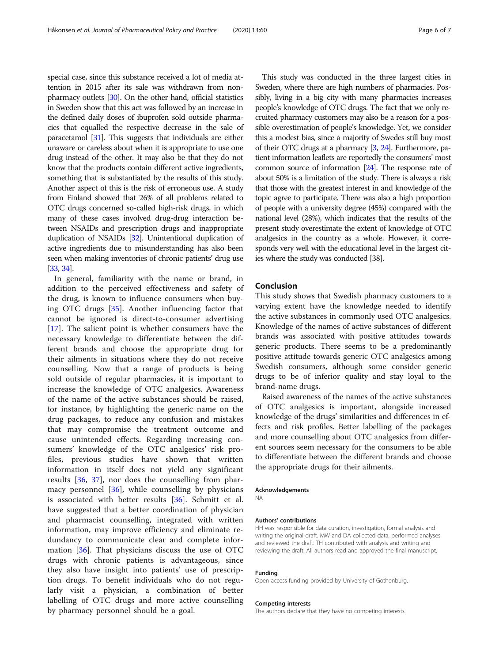special case, since this substance received a lot of media attention in 2015 after its sale was withdrawn from nonpharmacy outlets [[30](#page-6-0)]. On the other hand, official statistics in Sweden show that this act was followed by an increase in the defined daily doses of ibuprofen sold outside pharmacies that equalled the respective decrease in the sale of paracetamol [\[31\]](#page-6-0). This suggests that individuals are either unaware or careless about when it is appropriate to use one drug instead of the other. It may also be that they do not know that the products contain different active ingredients, something that is substantiated by the results of this study. Another aspect of this is the risk of erroneous use. A study from Finland showed that 26% of all problems related to OTC drugs concerned so-called high-risk drugs, in which many of these cases involved drug-drug interaction between NSAIDs and prescription drugs and inappropriate duplication of NSAIDs [\[32](#page-6-0)]. Unintentional duplication of active ingredients due to misunderstanding has also been seen when making inventories of chronic patients' drug use [[33](#page-6-0), [34](#page-6-0)].

In general, familiarity with the name or brand, in addition to the perceived effectiveness and safety of the drug, is known to influence consumers when buying OTC drugs [[35\]](#page-6-0). Another influencing factor that cannot be ignored is direct-to-consumer advertising [[17\]](#page-6-0). The salient point is whether consumers have the necessary knowledge to differentiate between the different brands and choose the appropriate drug for their ailments in situations where they do not receive counselling. Now that a range of products is being sold outside of regular pharmacies, it is important to increase the knowledge of OTC analgesics. Awareness of the name of the active substances should be raised, for instance, by highlighting the generic name on the drug packages, to reduce any confusion and mistakes that may compromise the treatment outcome and cause unintended effects. Regarding increasing consumers' knowledge of the OTC analgesics' risk profiles, previous studies have shown that written information in itself does not yield any significant results [\[36](#page-6-0), [37](#page-6-0)], nor does the counselling from pharmacy personnel [[36\]](#page-6-0), while counselling by physicians is associated with better results [[36\]](#page-6-0). Schmitt et al. have suggested that a better coordination of physician and pharmacist counselling, integrated with written information, may improve efficiency and eliminate redundancy to communicate clear and complete information [[36](#page-6-0)]. That physicians discuss the use of OTC drugs with chronic patients is advantageous, since they also have insight into patients' use of prescription drugs. To benefit individuals who do not regularly visit a physician, a combination of better labelling of OTC drugs and more active counselling by pharmacy personnel should be a goal.

This study was conducted in the three largest cities in Sweden, where there are high numbers of pharmacies. Possibly, living in a big city with many pharmacies increases people's knowledge of OTC drugs. The fact that we only recruited pharmacy customers may also be a reason for a possible overestimation of people's knowledge. Yet, we consider this a modest bias, since a majority of Swedes still buy most of their OTC drugs at a pharmacy [\[3,](#page-6-0) [24\]](#page-6-0). Furthermore, patient information leaflets are reportedly the consumers' most common source of information [\[24](#page-6-0)]. The response rate of about 50% is a limitation of the study. There is always a risk that those with the greatest interest in and knowledge of the topic agree to participate. There was also a high proportion of people with a university degree (45%) compared with the national level (28%), which indicates that the results of the present study overestimate the extent of knowledge of OTC analgesics in the country as a whole. However, it corresponds very well with the educational level in the largest cities where the study was conducted [38].

#### Conclusion

This study shows that Swedish pharmacy customers to a varying extent have the knowledge needed to identify the active substances in commonly used OTC analgesics. Knowledge of the names of active substances of different brands was associated with positive attitudes towards generic products. There seems to be a predominantly positive attitude towards generic OTC analgesics among Swedish consumers, although some consider generic drugs to be of inferior quality and stay loyal to the brand-name drugs.

Raised awareness of the names of the active substances of OTC analgesics is important, alongside increased knowledge of the drugs' similarities and differences in effects and risk profiles. Better labelling of the packages and more counselling about OTC analgesics from different sources seem necessary for the consumers to be able to differentiate between the different brands and choose the appropriate drugs for their ailments.

#### Acknowledgements

NA

#### Authors' contributions

HH was responsible for data curation, investigation, formal analysis and writing the original draft. MW and DA collected data, performed analyses and reviewed the draft. TH contributed with analysis and writing and reviewing the draft. All authors read and approved the final manuscript.

#### Funding

Open access funding provided by University of Gothenburg.

#### Competing interests

The authors declare that they have no competing interests.